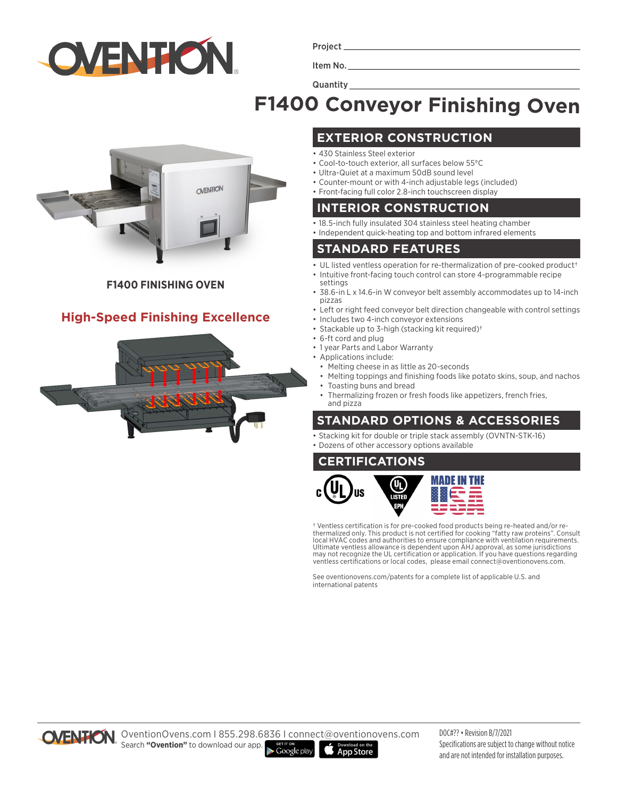

Project

Item No.

**Quantity** 

# **F1400 Conveyor Finishing Oven**



#### **F1400 FINISHING OVEN**

#### **High-Speed Finishing Excellence**



#### **EXTERIOR CONSTRUCTION**

- 430 Stainless Steel exterior
- Cool-to-touch exterior, all surfaces below 55°C
- Ultra-Quiet at a maximum 50dB sound level
- Counter-mount or with 4-inch adjustable legs (included) • Front-facing full color 2.8-inch touchscreen display

#### **INTERIOR CONSTRUCTION**

- 18.5-inch fully insulated 304 stainless steel heating chamber
- Independent quick-heating top and bottom infrared elements

#### **STANDARD FEATURES**

- UL listed ventless operation for re-thermalization of pre-cooked product<sup>+</sup>
- Intuitive front-facing touch control can store 4-programmable recipe settings
- 38.6-in L x 14.6-in W conveyor belt assembly accommodates up to 14-inch pizzas
- Left or right feed conveyor belt direction changeable with control settings • Includes two 4-inch conveyor extensions
- Stackable up to 3-high (stacking kit required)†
- 6-ft cord and plug
- 1 year Parts and Labor Warranty
- Applications include:
- Melting cheese in as little as 20-seconds
	- Melting toppings and finishing foods like potato skins, soup, and nachos • Toasting buns and bread
	- Thermalizing frozen or fresh foods like appetizers, french fries, and pizza

### **STANDARD OPTIONS & ACCESSORIES**

- Stacking kit for double or triple stack assembly (OVNTN-STK-16)
- Dozens of other accessory options available

#### **CERTIFICATIONS**



† Ventless certification is for pre-cooked food products being re-heated and/or rethermalized only. This product is not certified for cooking "fatty raw proteins". Consult local HVAC codes and authorities to ensure compliance with ventilation requirements. Ultimate ventless allowance is dependent upon AHJ approval, as some jurisdictions may not recognize the UL certification or application. If you have questions regarding ventless certifications or local codes, please email connect@oventionovens.com.

See oventionovens.com/patents for a complete list of applicable U.S. and international patents



OVENTION. OventionOvens.com | 855.298.6836 | connect@oventionovens.com Search **"Ovention"** to download our app.  $\blacktriangleright$  Google play **App Store** 

DOC#?? • Revision B/7/2021 Specifications are subject to change without notice and are not intended for installation purposes.